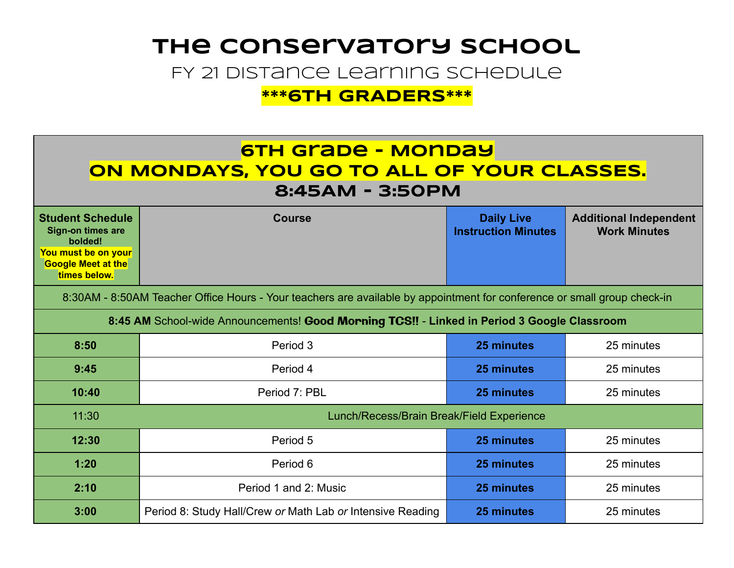### **The Conservatory School**

FY 21 Distance Learning Schedule

**\*\*\*6TH GRADERS\*\*\*** 

### **6TH Grade - Monday oN MONDAYS, YOU GO TO ALL OF YOUR CLASSES. 8:45AM - 3:50PM**

| <b>Student Schedule</b><br><b>Sign-on times are</b><br>bolded!<br>You must be on your<br><b>Google Meet at the</b><br>times below. | <b>Course</b>                                              | <b>Daily Live</b><br><b>Instruction Minutes</b> | <b>Additional Independent</b><br><b>Work Minutes</b> |  |  |
|------------------------------------------------------------------------------------------------------------------------------------|------------------------------------------------------------|-------------------------------------------------|------------------------------------------------------|--|--|
| 8:30AM - 8:50AM Teacher Office Hours - Your teachers are available by appointment for conference or small group check-in           |                                                            |                                                 |                                                      |  |  |
| 8:45 AM School-wide Announcements! Good Morning TCS!! - Linked in Period 3 Google Classroom                                        |                                                            |                                                 |                                                      |  |  |
| 8:50                                                                                                                               | Period 3                                                   | 25 minutes                                      | 25 minutes                                           |  |  |
| 9:45                                                                                                                               | Period 4                                                   | 25 minutes                                      | 25 minutes                                           |  |  |
| 10:40                                                                                                                              | Period 7: PBL                                              | 25 minutes                                      | 25 minutes                                           |  |  |
| 11:30                                                                                                                              | Lunch/Recess/Brain Break/Field Experience                  |                                                 |                                                      |  |  |
| 12:30                                                                                                                              | Period 5                                                   | 25 minutes                                      | 25 minutes                                           |  |  |
| 1:20                                                                                                                               | Period 6                                                   | 25 minutes                                      | 25 minutes                                           |  |  |
| 2:10                                                                                                                               | Period 1 and 2: Music                                      | 25 minutes                                      | 25 minutes                                           |  |  |
| 3:00                                                                                                                               | Period 8: Study Hall/Crew or Math Lab or Intensive Reading | 25 minutes                                      | 25 minutes                                           |  |  |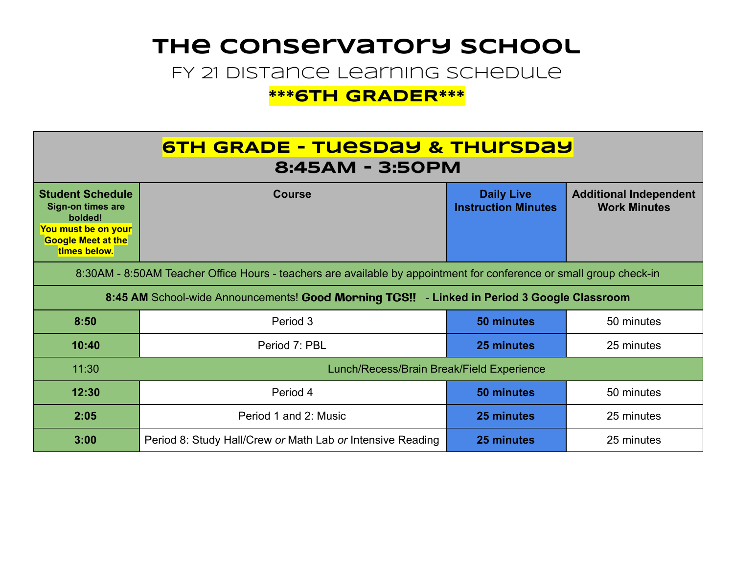# **The Conservatory School**

FY 21 Distance Learning Schedule

#### **\*\*\*6TH GRADER\*\*\***

| <b>6TH GRADE - TUESDAY &amp; THUISDAY</b><br>8:45AM - 3:50PM                                                                       |                                                            |                                                 |                                                      |  |  |
|------------------------------------------------------------------------------------------------------------------------------------|------------------------------------------------------------|-------------------------------------------------|------------------------------------------------------|--|--|
| <b>Student Schedule</b><br><b>Sign-on times are</b><br>bolded!<br>You must be on your<br><b>Google Meet at the</b><br>times below. | <b>Course</b>                                              | <b>Daily Live</b><br><b>Instruction Minutes</b> | <b>Additional Independent</b><br><b>Work Minutes</b> |  |  |
| 8:30AM - 8:50AM Teacher Office Hours - teachers are available by appointment for conference or small group check-in                |                                                            |                                                 |                                                      |  |  |
| 8:45 AM School-wide Announcements! Good Morning TCS!! - Linked in Period 3 Google Classroom                                        |                                                            |                                                 |                                                      |  |  |
| 8:50                                                                                                                               | Period 3                                                   | 50 minutes                                      | 50 minutes                                           |  |  |
| 10:40                                                                                                                              | Period 7: PBL                                              | 25 minutes                                      | 25 minutes                                           |  |  |
| 11:30                                                                                                                              | Lunch/Recess/Brain Break/Field Experience                  |                                                 |                                                      |  |  |
| 12:30                                                                                                                              | Period 4                                                   | 50 minutes                                      | 50 minutes                                           |  |  |
| 2:05                                                                                                                               | Period 1 and 2: Music                                      | 25 minutes                                      | 25 minutes                                           |  |  |
| 3:00                                                                                                                               | Period 8: Study Hall/Crew or Math Lab or Intensive Reading | 25 minutes                                      | 25 minutes                                           |  |  |